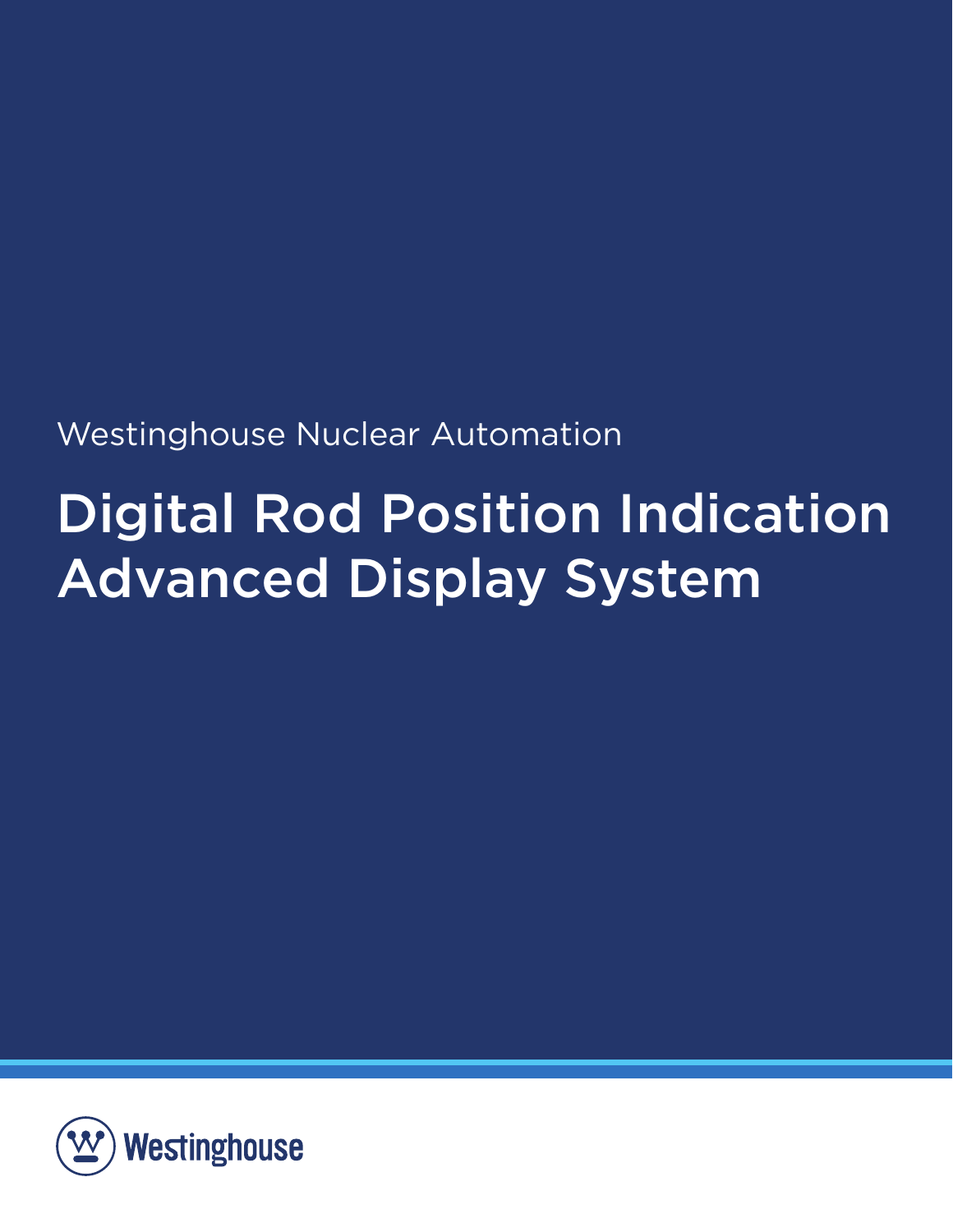Westinghouse Nuclear Automation

# Digital Rod Position Indication Advanced Display System

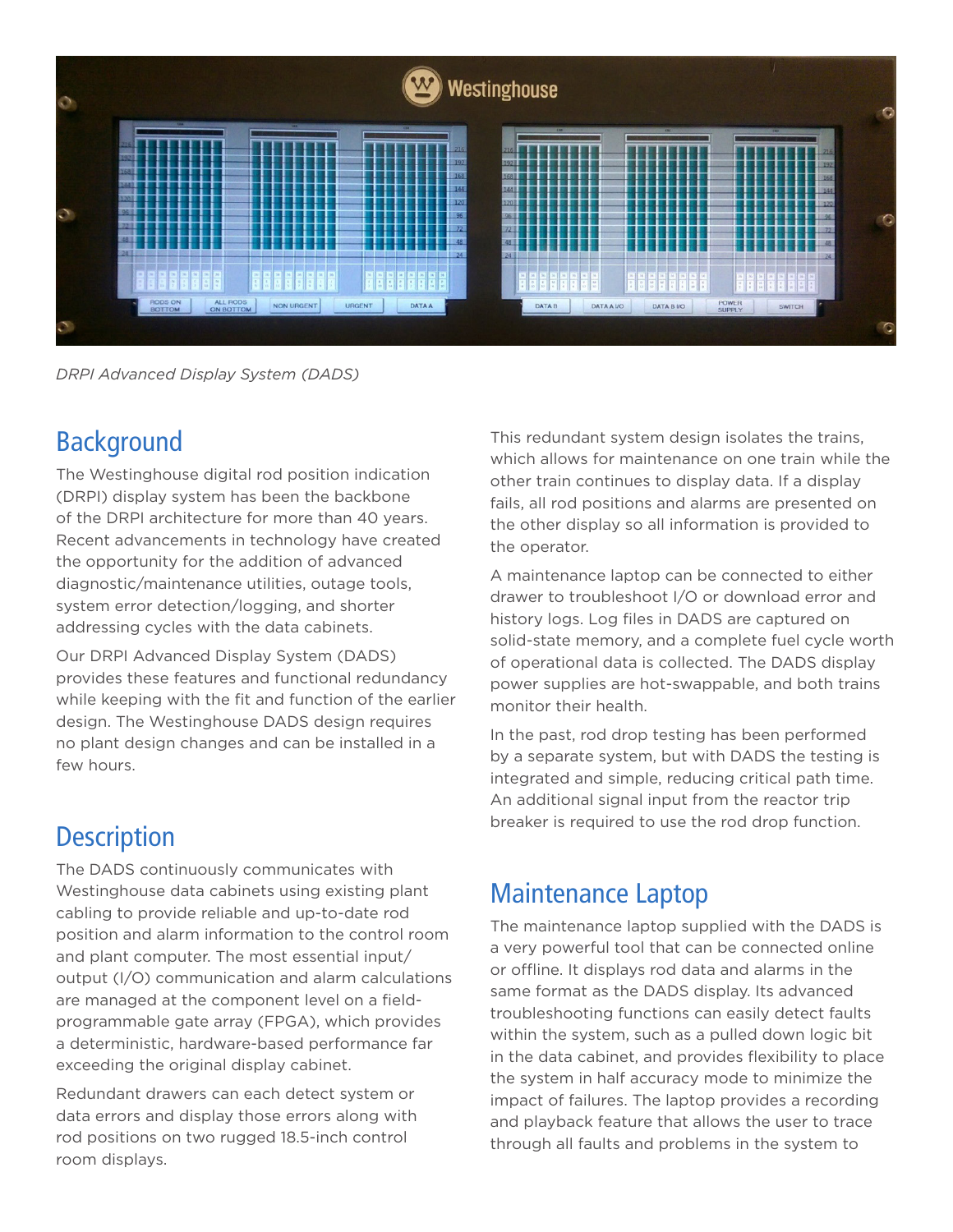

*DRPI Advanced Display System (DADS)*

# Background

The Westinghouse digital rod position indication (DRPI) display system has been the backbone of the DRPI architecture for more than 40 years. Recent advancements in technology have created the opportunity for the addition of advanced diagnostic/maintenance utilities, outage tools, system error detection/logging, and shorter addressing cycles with the data cabinets.

Our DRPI Advanced Display System (DADS) provides these features and functional redundancy while keeping with the fit and function of the earlier design. The Westinghouse DADS design requires no plant design changes and can be installed in a few hours.

# **Description**

The DADS continuously communicates with Westinghouse data cabinets using existing plant cabling to provide reliable and up-to-date rod position and alarm information to the control room and plant computer. The most essential input/ output (I/O) communication and alarm calculations are managed at the component level on a fieldprogrammable gate array (FPGA), which provides a deterministic, hardware-based performance far exceeding the original display cabinet.

Redundant drawers can each detect system or data errors and display those errors along with rod positions on two rugged 18.5-inch control room displays.

This redundant system design isolates the trains, which allows for maintenance on one train while the other train continues to display data. If a display fails, all rod positions and alarms are presented on the other display so all information is provided to the operator.

A maintenance laptop can be connected to either drawer to troubleshoot I/O or download error and history logs. Log files in DADS are captured on solid-state memory, and a complete fuel cycle worth of operational data is collected. The DADS display power supplies are hot-swappable, and both trains monitor their health.

In the past, rod drop testing has been performed by a separate system, but with DADS the testing is integrated and simple, reducing critical path time. An additional signal input from the reactor trip breaker is required to use the rod drop function.

# Maintenance Laptop

The maintenance laptop supplied with the DADS is a very powerful tool that can be connected online or offline. It displays rod data and alarms in the same format as the DADS display. Its advanced troubleshooting functions can easily detect faults within the system, such as a pulled down logic bit in the data cabinet, and provides flexibility to place the system in half accuracy mode to minimize the impact of failures. The laptop provides a recording and playback feature that allows the user to trace through all faults and problems in the system to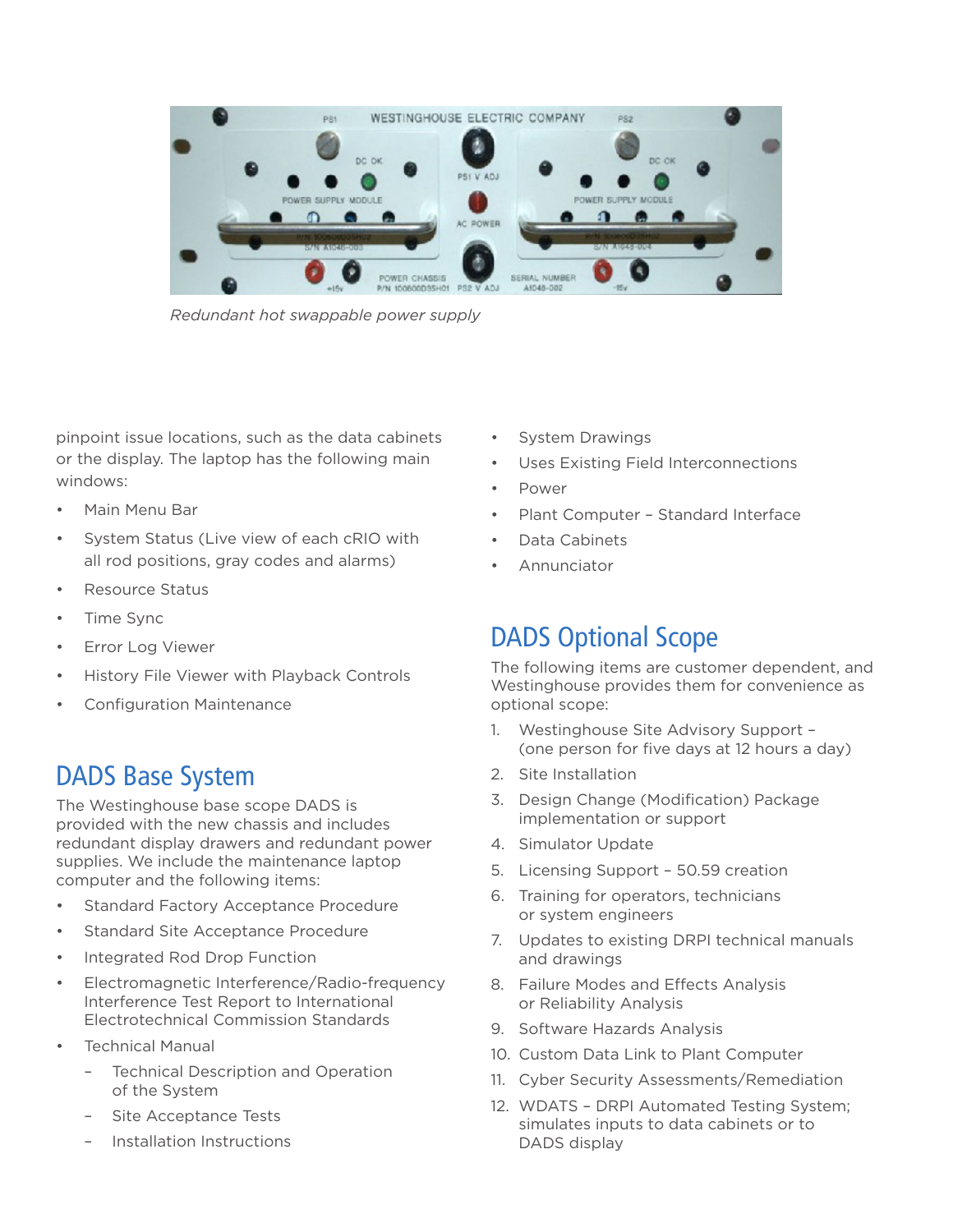

*Redundant hot swappable power supply*

pinpoint issue locations, such as the data cabinets or the display. The laptop has the following main windows:

- Main Menu Bar
- System Status (Live view of each cRIO with all rod positions, gray codes and alarms)
- Resource Status
- Time Sync
- Error Log Viewer
- History File Viewer with Playback Controls
- Configuration Maintenance

### DADS Base System

The Westinghouse base scope DADS is provided with the new chassis and includes redundant display drawers and redundant power supplies. We include the maintenance laptop computer and the following items:

- Standard Factory Acceptance Procedure
- Standard Site Acceptance Procedure
- Integrated Rod Drop Function
- Electromagnetic Interference/Radio-frequency Interference Test Report to International Electrotechnical Commission Standards
- **Technical Manual** 
	- Technical Description and Operation of the System
	- Site Acceptance Tests
	- Installation Instructions
- System Drawings
- Uses Existing Field Interconnections
- Power
- Plant Computer Standard Interface
- Data Cabinets
- **Annunciator**

# DADS Optional Scope

The following items are customer dependent, and Westinghouse provides them for convenience as optional scope:

- 1. Westinghouse Site Advisory Support (one person for five days at 12 hours a day)
- 2. Site Installation
- 3. Design Change (Modification) Package implementation or support
- 4. Simulator Update
- 5. Licensing Support 50.59 creation
- 6. Training for operators, technicians or system engineers
- 7. Updates to existing DRPI technical manuals and drawings
- 8. Failure Modes and Effects Analysis or Reliability Analysis
- 9. Software Hazards Analysis
- 10. Custom Data Link to Plant Computer
- 11. Cyber Security Assessments/Remediation
- 12. WDATS DRPI Automated Testing System; simulates inputs to data cabinets or to DADS display